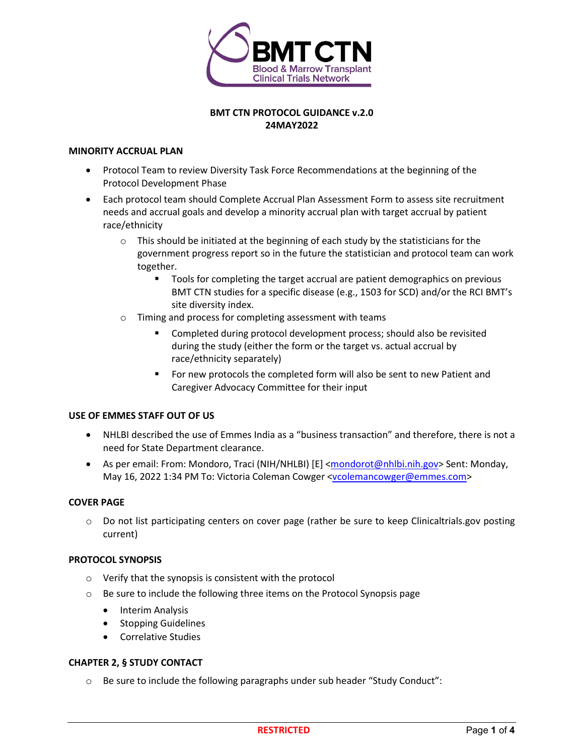

# **BMT CTN PROTOCOL GUIDANCE v.2.0 24MAY2022**

#### **MINORITY ACCRUAL PLAN**

- Protocol Team to review Diversity Task Force Recommendations at the beginning of the Protocol Development Phase
- Each protocol team should Complete Accrual Plan Assessment Form to assess site recruitment needs and accrual goals and develop a minority accrual plan with target accrual by patient race/ethnicity
	- $\circ$  This should be initiated at the beginning of each study by the statisticians for the government progress report so in the future the statistician and protocol team can work together.
		- **Tools for completing the target accrual are patient demographics on previous** BMT CTN studies for a specific disease (e.g., 1503 for SCD) and/or the RCI BMT's site diversity index.
	- o Timing and process for completing assessment with teams
		- Completed during protocol development process; should also be revisited during the study (either the form or the target vs. actual accrual by race/ethnicity separately)
		- For new protocols the completed form will also be sent to new Patient and Caregiver Advocacy Committee for their input

## **USE OF EMMES STAFF OUT OF US**

- NHLBI described the use of Emmes India as a "business transaction" and therefore, there is not a need for State Department clearance.
- As per email: From: Mondoro, Traci (NIH/NHLBI) [E] [<mondorot@nhlbi.nih.gov>](mailto:mondorot@nhlbi.nih.gov) Sent: Monday, May 16, 2022 1:34 PM To: Victoria Coleman Cowger [<vcolemancowger@emmes.com>](mailto:vcolemancowger@emmes.com)

## **COVER PAGE**

o Do not list participating centers on cover page (rather be sure to keep Clinicaltrials.gov posting current)

#### **PROTOCOL SYNOPSIS**

- o Verify that the synopsis is consistent with the protocol
- o Be sure to include the following three items on the Protocol Synopsis page
	- Interim Analysis
	- Stopping Guidelines
	- Correlative Studies

## **CHAPTER 2, § STUDY CONTACT**

o Be sure to include the following paragraphs under sub header "Study Conduct":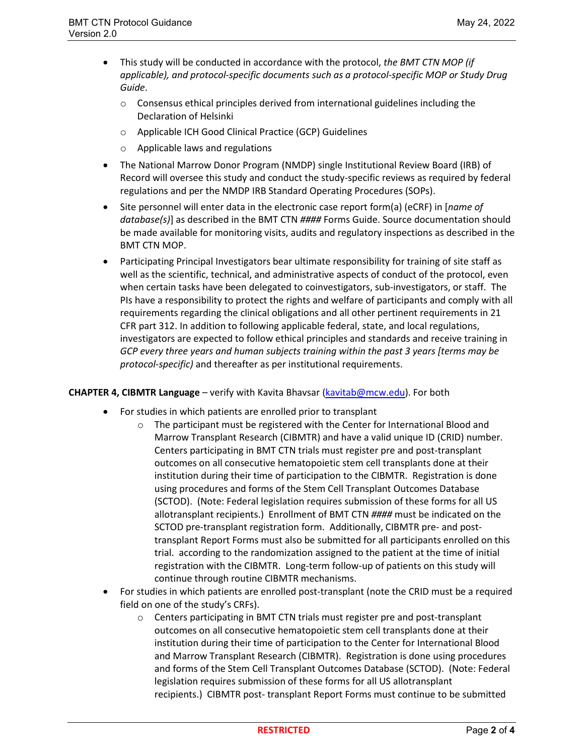- This study will be conducted in accordance with the protocol, *the BMT CTN MOP (if applicable), and protocol-specific documents such as a protocol-specific MOP or Study Drug Guide*.
	- $\circ$  Consensus ethical principles derived from international guidelines including the Declaration of Helsinki
	- o Applicable ICH Good Clinical Practice (GCP) Guidelines
	- o Applicable laws and regulations
- The National Marrow Donor Program (NMDP) single Institutional Review Board (IRB) of Record will oversee this study and conduct the study-specific reviews as required by federal regulations and per the NMDP IRB Standard Operating Procedures (SOPs).
- Site personnel will enter data in the electronic case report form(a) (eCRF) in [*name of database(s)*] as described in the BMT CTN *####* Forms Guide. Source documentation should be made available for monitoring visits, audits and regulatory inspections as described in the BMT CTN MOP.
- Participating Principal Investigators bear ultimate responsibility for training of site staff as well as the scientific, technical, and administrative aspects of conduct of the protocol, even when certain tasks have been delegated to coinvestigators, sub-investigators, or staff. The PIs have a responsibility to protect the rights and welfare of participants and comply with all requirements regarding the clinical obligations and all other pertinent requirements in 21 CFR part 312. In addition to following applicable federal, state, and local regulations, investigators are expected to follow ethical principles and standards and receive training in *GCP every three years and human subjects training within the past 3 years [terms may be protocol-specific)* and thereafter as per institutional requirements.

## **CHAPTER 4, CIBMTR Language** – verify with Kavita Bhavsar [\(kavitab@mcw.edu\)](mailto:kavitab@mcw.edu). For both

- For studies in which patients are enrolled prior to transplant
	- o The participant must be registered with the Center for International Blood and Marrow Transplant Research (CIBMTR) and have a valid unique ID (CRID) number. Centers participating in BMT CTN trials must register pre and post-transplant outcomes on all consecutive hematopoietic stem cell transplants done at their institution during their time of participation to the CIBMTR. Registration is done using procedures and forms of the Stem Cell Transplant Outcomes Database (SCTOD). (Note: Federal legislation requires submission of these forms for all US allotransplant recipients.) Enrollment of BMT CTN *####* must be indicated on the SCTOD pre-transplant registration form. Additionally, CIBMTR pre- and posttransplant Report Forms must also be submitted for all participants enrolled on this trial. according to the randomization assigned to the patient at the time of initial registration with the CIBMTR. Long-term follow-up of patients on this study will continue through routine CIBMTR mechanisms.
- For studies in which patients are enrolled post-transplant (note the CRID must be a required field on one of the study's CRFs).
	- $\circ$  Centers participating in BMT CTN trials must register pre and post-transplant outcomes on all consecutive hematopoietic stem cell transplants done at their institution during their time of participation to the Center for International Blood and Marrow Transplant Research (CIBMTR). Registration is done using procedures and forms of the Stem Cell Transplant Outcomes Database (SCTOD). (Note: Federal legislation requires submission of these forms for all US allotransplant recipients.) CIBMTR post- transplant Report Forms must continue to be submitted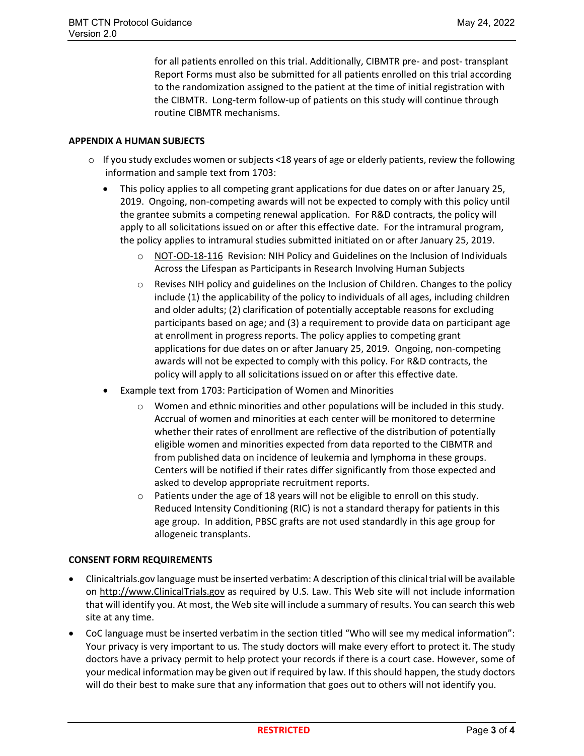for all patients enrolled on this trial. Additionally, CIBMTR pre- and post- transplant Report Forms must also be submitted for all patients enrolled on this trial according to the randomization assigned to the patient at the time of initial registration with the CIBMTR. Long-term follow-up of patients on this study will continue through routine CIBMTR mechanisms.

#### **APPENDIX A HUMAN SUBJECTS**

- $\circ$  If you study excludes women or subjects <18 years of age or elderly patients, review the following information and sample text from 1703:
	- This policy applies to all competing grant applications for due dates on or after January 25, 2019. Ongoing, non-competing awards will not be expected to comply with this policy until the grantee submits a competing renewal application. For R&D contracts, the policy will apply to all solicitations issued on or after this effective date. For the intramural program, the policy applies to intramural studies submitted initiated on or after January 25, 2019.
		- $\circ$  [NOT-OD-18-116](https://grants.nih.gov/grants/guide/notice-files/NOT-OD-18-116.html) Revision: NIH Policy and Guidelines on the Inclusion of Individuals Across the Lifespan as Participants in Research Involving Human Subjects
		- $\circ$  Revises NIH policy and guidelines on the Inclusion of Children. Changes to the policy include (1) the applicability of the policy to individuals of all ages, including children and older adults; (2) clarification of potentially acceptable reasons for excluding participants based on age; and (3) a requirement to provide data on participant age at enrollment in progress reports. The policy applies to competing grant applications for due dates on or after January 25, 2019. Ongoing, non-competing awards will not be expected to comply with this policy. For R&D contracts, the policy will apply to all solicitations issued on or after this effective date.
	- Example text from 1703: Participation of Women and Minorities
		- $\circ$  Women and ethnic minorities and other populations will be included in this study. Accrual of women and minorities at each center will be monitored to determine whether their rates of enrollment are reflective of the distribution of potentially eligible women and minorities expected from data reported to the CIBMTR and from published data on incidence of leukemia and lymphoma in these groups. Centers will be notified if their rates differ significantly from those expected and asked to develop appropriate recruitment reports.
		- $\circ$  Patients under the age of 18 years will not be eligible to enroll on this study. Reduced Intensity Conditioning (RIC) is not a standard therapy for patients in this age group. In addition, PBSC grafts are not used standardly in this age group for allogeneic transplants.

## **CONSENT FORM REQUIREMENTS**

- Clinicaltrials.gov language must be inserted verbatim: A description of this clinical trial will be available on [http://www.ClinicalTrials.gov](http://www.clinicaltrials.gov/) as required by U.S. Law. This Web site will not include information that will identify you. At most, the Web site will include a summary of results. You can search this web site at any time.
- CoC language must be inserted verbatim in the section titled "Who will see my medical information": Your privacy is very important to us. The study doctors will make every effort to protect it. The study doctors have a privacy permit to help protect your records if there is a court case. However, some of your medical information may be given out if required by law. If this should happen, the study doctors will do their best to make sure that any information that goes out to others will not identify you.